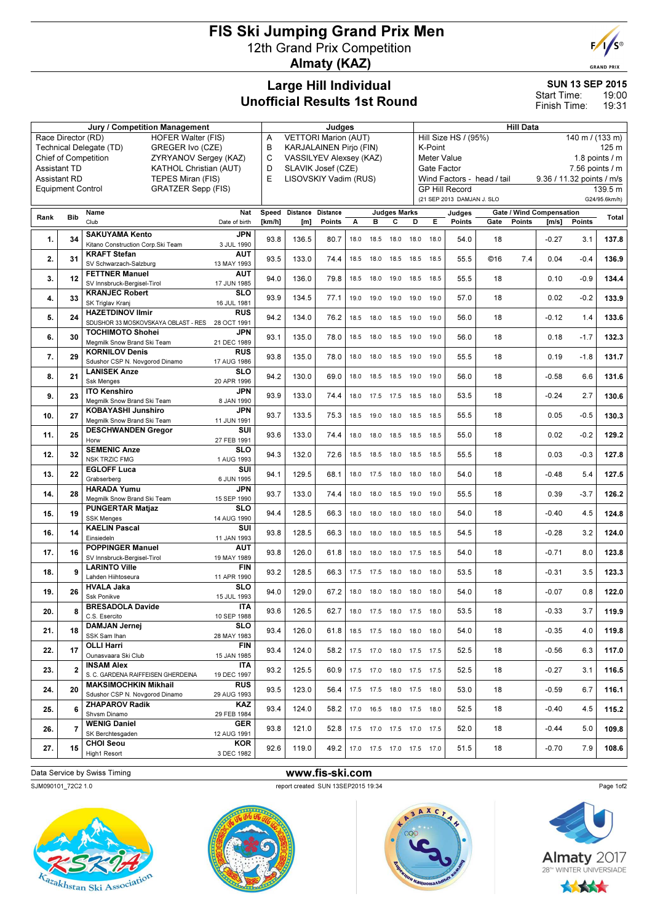# FIS Ski Jumping Grand Prix Men 12th Grand Prix Competition Almaty (KAZ)



**GRAND PRIX** 

#### Large Hill Individual Unofficial Results 1st Round

SUN 13 SEP 2015 19:00 19:31 Start Time: Finish Time:

| Race Director (RD)<br><b>HOFER Walter (FIS)</b><br><b>VETTORI Marion (AUT)</b><br>Hill Size HS / (95%)<br>140 m / (133 m)<br>A<br>Technical Delegate (TD)<br>GREGER Ivo (CZE)<br>в<br><b>KARJALAINEN Pirjo (FIN)</b><br>K-Point<br><b>Chief of Competition</b><br>ZYRYANOV Sergey (KAZ)<br>C<br><b>VASSILYEV Alexsey (KAZ)</b><br>Meter Value<br><b>Assistant TD</b><br><b>KATHOL Christian (AUT)</b><br>D<br>SLAVIK Josef (CZE)<br>Gate Factor<br>$7.56$ points $/ m$<br>E<br><b>Assistant RD</b><br>TEPES Miran (FIS)<br>LISOVSKIY Vadim (RUS)<br>Wind Factors - head / tail<br>9.36 / 11.32 points / m/s<br><b>GRATZER Sepp (FIS)</b><br><b>GP Hill Record</b><br><b>Equipment Control</b><br>139.5 m<br>(21 SEP 2013 DAMJAN J. SLO<br>G24/95.6km/h)<br>Nat<br>Speed Distance<br><b>Distance</b><br><b>Judges Marks</b><br><b>Gate / Wind Compensation</b><br>Name<br>Judges<br>Rank<br><b>Bib</b><br>Club<br>с<br>Е<br>Points<br>Points<br>Points<br>Date of birth<br>[km/h]<br>[m]<br>Points<br>А<br>в<br>D<br>Gate<br>[m/s]<br><b>SAKUYAMA Kento</b><br><b>JPN</b><br>1.<br>93.8<br>136.5<br>80.7<br>54.0<br>$-0.27$<br>34<br>18<br>3.1<br>18.0<br>18.5<br>18.0<br>18.0<br>18.0<br>Kitano Construction Corp.Ski Team<br>3 JUL 1990<br><b>KRAFT Stefan</b><br>AUT<br>2.<br>93.5<br>31<br>133.0<br>55.5<br>©16<br>7.4<br>74.4<br>18.5<br>0.04<br>$-0.4$<br>18.5<br>18.0<br>18.5<br>18.5<br>SV Schwarzach-Salzburg<br>13 MAY 1993<br><b>AUT</b><br><b>FETTNER Manuel</b><br>94.0<br>136.0<br>55.5<br>$-0.9$<br>3.<br>79.8<br>18<br>0.10<br>12<br>18.5<br>18.0<br>19.0<br>18.5<br>18.5<br>SV Innsbruck-Bergisel-Tirol<br>17 JUN 1985<br><b>KRANJEC Robert</b><br>SLO<br>4.<br>33<br>93.9<br>134.5<br>57.0<br>$-0.2$<br>133.9<br>77.1<br>18<br>0.02<br>19.0<br>19.0<br>19.0 19.0 19.0<br>SK Triglav Kranj<br>16 JUL 1981<br><b>HAZETDINOV Ilmir</b><br><b>RUS</b><br>5.<br>94.2<br>134.0<br>56.0<br>24<br>76.2<br>18<br>$-0.12$<br>1.4<br>18.5<br>18.0<br>19.0<br>18.5<br>19.0<br>SDUSHOR 33 MOSKOVSKAYA OBLAST - RES 28 OCT 1991<br><b>TOCHIMOTO Shohei</b><br><b>JPN</b><br>93.1<br>135.0<br>$-1.7$<br>6.<br>30<br>78.0<br>19.0<br>56.0<br>18<br>0.18<br>18.5<br>18.0<br>18.5<br>19.0<br>Megmilk Snow Brand Ski Team<br>21 DEC 1989<br><b>KORNILOV Denis</b><br><b>RUS</b><br>7.<br>93.8<br>135.0<br>55.5<br>$-1.8$<br>131.7<br>29<br>78.0<br>18.0<br>19.0<br>18<br>0.19<br>18.0<br>18.5<br>19.0<br>Sdushor CSP N. Novgorod Dinamo<br>17 AUG 1986<br><b>LANISEK Anze</b><br>SLO<br>94.2<br>131.6<br>8.<br>21<br>130.0<br>69.0<br>18.5 18.5 19.0 19.0<br>56.0<br>18<br>$-0.58$<br>6.6<br>18.0<br>Ssk Menges<br>20 APR 1996<br><b>ITO Kenshiro</b><br><b>JPN</b><br>53.5<br>2.7<br>9.<br>93.9<br>133.0<br>74.4<br>18<br>$-0.24$<br>23<br>18.0<br>17.5<br>17.5 18.5<br>18.0<br>Megmilk Snow Brand Ski Team<br>8 JAN 1990<br><b>KOBAYASHI Junshiro</b><br><b>JPN</b><br>10.<br>27<br>93.7<br>133.5<br>55.5<br>18<br>0.05<br>$-0.5$<br>75.3<br>18.5<br>19.0<br>18.0 18.5 18.5<br>Megmilk Snow Brand Ski Team<br>11 JUN 1991<br><b>DESCHWANDEN Gregor</b><br>SUI<br>11.<br>25<br>93.6<br>133.0<br>74.4<br>55.0<br>18<br>0.02<br>$-0.2$<br>18.0<br>18.0<br>18.5 18.5 18.5<br>Horw<br>27 FEB 1991<br><b>SEMENIC Anze</b><br>SLO<br>127.8<br>12.<br>32<br>94.3<br>132.0<br>55.5<br>18<br>0.03<br>$-0.3$<br>72.6<br>18.5<br>18.5 18.0 18.5 18.5<br><b>NSK TRZIC FMG</b><br>1 AUG 1993<br><b>EGLOFF Luca</b><br>SUI<br>22<br>129.5<br>13.<br>94.1<br>68.1<br>54.0<br>18<br>$-0.48$<br>5.4<br>18.0<br>17.5<br>18.0<br>18.0<br>18.0<br>Grabserberg<br>6 JUN 1995<br><b>HARADA Yumu</b><br>JPN<br>93.7<br>55.5<br>133.0<br>18<br>0.39<br>$-3.7$<br>14.<br>28<br>74.4<br>18.0<br>18.0<br>18.5 19.0<br>19.0<br>Megmilk Snow Brand Ski Team<br>15 SEP 1990<br><b>PUNGERTAR Matjaz</b><br>SLO<br>19<br>128.5<br>54.0<br>4.5<br>124.8<br>15.<br>94.4<br>66.3<br>18<br>$-0.40$<br>18.0<br>18.0<br>18.0<br>18.0<br>18.0<br><b>SSK Menges</b><br>14 AUG 1990<br><b>KAELIN Pascal</b><br>SUI<br>54.5<br>124.0<br>16.<br>14<br>93.8<br>128.5<br>66.3<br>18<br>$-0.28$<br>3.2<br>18.0<br>18.0<br>18.5 18.5<br>18.0<br>Einsiedeln<br>11 JAN 1993<br><b>POPPINGER Manuel</b><br><b>AUT</b><br>16<br>54.0<br>$-0.71$<br>8.0<br>17.<br>93.8<br>126.0<br>61.8<br>18<br>18.0<br>18.0<br>18.0<br>17.5<br>18.5<br>SV Innsbruck-Beraisel-Tirol<br>19 MAY 1989<br><b>LARINTO Ville</b><br><b>FIN</b><br>18.<br>9<br>93.2<br>128.5<br>66.3<br>53.5<br>18<br>$-0.31$<br>3.5<br>17.5<br>17.5<br>18.0<br>18.0<br>18.0<br>Lahden Hiihtoseura<br>11 APR 1990<br><b>HVALA Jaka</b><br>SLO<br>26<br>94.0<br>54.0<br>$-0.07$<br>122.0<br>19.<br>129.0<br>67.2<br>18.0<br>18.0<br>18.0<br>18<br>0.8<br>18.0<br>18.0<br>Ssk Ponikve<br>15 JUL 1993<br><b>BRESADOLA Davide</b><br><b>ITA</b><br>93.6<br>3.7<br>126.5<br>62.7<br>53.5<br>$-0.33$<br>20.<br>18<br>18.0 17.5 18.0 17.5 18.0<br>C.S. Esercito<br>10 SEP 1988<br><b>DAMJAN Jernej</b><br><b>SLO</b><br>21.<br>18<br>93.4<br>126.0<br>18.5 17.5 18.0 18.0 18.0<br>54.0<br>18<br>$-0.35$<br>4.0<br>61.8<br>SSK Sam Ihan<br>28 MAY 1983<br><b>OLLI Harri</b><br><b>FIN</b><br>22.<br>17<br>93.4<br>124.0<br>17.5 17.0 18.0 17.5 17.5<br>52.5<br>18<br>$-0.56$<br>6.3<br>58.2<br>Ounasvaara Ski Club<br>15 JAN 1985<br><b>INSAM Alex</b><br><b>ITA</b><br>23.<br>93.2<br>125.5<br>52.5<br>18<br>$-0.27$<br>116.5<br>60.9<br>17.5 17.0 18.0 17.5 17.5<br>3.1<br>S. C. GARDENA RAIFFEISEN GHERDEINA<br>19 DEC 1997<br><b>MAKSIMOCHKIN Mikhail</b><br><b>RUS</b><br>17.5 17.5 18.0 17.5 18.0 | <b>Jury / Competition Management</b> |    |  |  |      | Judges |      |  |  |  |  | <b>Hill Data</b> |      |    |  |         |     |       |  |
|------------------------------------------------------------------------------------------------------------------------------------------------------------------------------------------------------------------------------------------------------------------------------------------------------------------------------------------------------------------------------------------------------------------------------------------------------------------------------------------------------------------------------------------------------------------------------------------------------------------------------------------------------------------------------------------------------------------------------------------------------------------------------------------------------------------------------------------------------------------------------------------------------------------------------------------------------------------------------------------------------------------------------------------------------------------------------------------------------------------------------------------------------------------------------------------------------------------------------------------------------------------------------------------------------------------------------------------------------------------------------------------------------------------------------------------------------------------------------------------------------------------------------------------------------------------------------------------------------------------------------------------------------------------------------------------------------------------------------------------------------------------------------------------------------------------------------------------------------------------------------------------------------------------------------------------------------------------------------------------------------------------------------------------------------------------------------------------------------------------------------------------------------------------------------------------------------------------------------------------------------------------------------------------------------------------------------------------------------------------------------------------------------------------------------------------------------------------------------------------------------------------------------------------------------------------------------------------------------------------------------------------------------------------------------------------------------------------------------------------------------------------------------------------------------------------------------------------------------------------------------------------------------------------------------------------------------------------------------------------------------------------------------------------------------------------------------------------------------------------------------------------------------------------------------------------------------------------------------------------------------------------------------------------------------------------------------------------------------------------------------------------------------------------------------------------------------------------------------------------------------------------------------------------------------------------------------------------------------------------------------------------------------------------------------------------------------------------------------------------------------------------------------------------------------------------------------------------------------------------------------------------------------------------------------------------------------------------------------------------------------------------------------------------------------------------------------------------------------------------------------------------------------------------------------------------------------------------------------------------------------------------------------------------------------------------------------------------------------------------------------------------------------------------------------------------------------------------------------------------------------------------------------------------------------------------------------------------------------------------------------------------------------------------------------------------------------------------------------------------------------------------------------------------------------------------------------------------------------------------------------------------------------------------------------------------------------------------------------------------------------------------------------------------------------------------------------------------------------------------------------------------------------------------------------------------------------------------------------------------------------------------------------------------------------------------------------------------------------------------------------------------------------------------------------------------------------------------------------------------------------|--------------------------------------|----|--|--|------|--------|------|--|--|--|--|------------------|------|----|--|---------|-----|-------|--|
|                                                                                                                                                                                                                                                                                                                                                                                                                                                                                                                                                                                                                                                                                                                                                                                                                                                                                                                                                                                                                                                                                                                                                                                                                                                                                                                                                                                                                                                                                                                                                                                                                                                                                                                                                                                                                                                                                                                                                                                                                                                                                                                                                                                                                                                                                                                                                                                                                                                                                                                                                                                                                                                                                                                                                                                                                                                                                                                                                                                                                                                                                                                                                                                                                                                                                                                                                                                                                                                                                                                                                                                                                                                                                                                                                                                                                                                                                                                                                                                                                                                                                                                                                                                                                                                                                                                                                                                                                                                                                                                                                                                                                                                                                                                                                                                                                                                                                                                                                                                                                                                                                                                                                                                                                                                                                                                                                                                                                                                                                                      |                                      |    |  |  |      |        |      |  |  |  |  |                  |      |    |  |         |     |       |  |
|                                                                                                                                                                                                                                                                                                                                                                                                                                                                                                                                                                                                                                                                                                                                                                                                                                                                                                                                                                                                                                                                                                                                                                                                                                                                                                                                                                                                                                                                                                                                                                                                                                                                                                                                                                                                                                                                                                                                                                                                                                                                                                                                                                                                                                                                                                                                                                                                                                                                                                                                                                                                                                                                                                                                                                                                                                                                                                                                                                                                                                                                                                                                                                                                                                                                                                                                                                                                                                                                                                                                                                                                                                                                                                                                                                                                                                                                                                                                                                                                                                                                                                                                                                                                                                                                                                                                                                                                                                                                                                                                                                                                                                                                                                                                                                                                                                                                                                                                                                                                                                                                                                                                                                                                                                                                                                                                                                                                                                                                                                      |                                      |    |  |  |      |        |      |  |  |  |  | 125 <sub>m</sub> |      |    |  |         |     |       |  |
|                                                                                                                                                                                                                                                                                                                                                                                                                                                                                                                                                                                                                                                                                                                                                                                                                                                                                                                                                                                                                                                                                                                                                                                                                                                                                                                                                                                                                                                                                                                                                                                                                                                                                                                                                                                                                                                                                                                                                                                                                                                                                                                                                                                                                                                                                                                                                                                                                                                                                                                                                                                                                                                                                                                                                                                                                                                                                                                                                                                                                                                                                                                                                                                                                                                                                                                                                                                                                                                                                                                                                                                                                                                                                                                                                                                                                                                                                                                                                                                                                                                                                                                                                                                                                                                                                                                                                                                                                                                                                                                                                                                                                                                                                                                                                                                                                                                                                                                                                                                                                                                                                                                                                                                                                                                                                                                                                                                                                                                                                                      |                                      |    |  |  |      |        |      |  |  |  |  | 1.8 points $/m$  |      |    |  |         |     |       |  |
|                                                                                                                                                                                                                                                                                                                                                                                                                                                                                                                                                                                                                                                                                                                                                                                                                                                                                                                                                                                                                                                                                                                                                                                                                                                                                                                                                                                                                                                                                                                                                                                                                                                                                                                                                                                                                                                                                                                                                                                                                                                                                                                                                                                                                                                                                                                                                                                                                                                                                                                                                                                                                                                                                                                                                                                                                                                                                                                                                                                                                                                                                                                                                                                                                                                                                                                                                                                                                                                                                                                                                                                                                                                                                                                                                                                                                                                                                                                                                                                                                                                                                                                                                                                                                                                                                                                                                                                                                                                                                                                                                                                                                                                                                                                                                                                                                                                                                                                                                                                                                                                                                                                                                                                                                                                                                                                                                                                                                                                                                                      |                                      |    |  |  |      |        |      |  |  |  |  |                  |      |    |  |         |     |       |  |
|                                                                                                                                                                                                                                                                                                                                                                                                                                                                                                                                                                                                                                                                                                                                                                                                                                                                                                                                                                                                                                                                                                                                                                                                                                                                                                                                                                                                                                                                                                                                                                                                                                                                                                                                                                                                                                                                                                                                                                                                                                                                                                                                                                                                                                                                                                                                                                                                                                                                                                                                                                                                                                                                                                                                                                                                                                                                                                                                                                                                                                                                                                                                                                                                                                                                                                                                                                                                                                                                                                                                                                                                                                                                                                                                                                                                                                                                                                                                                                                                                                                                                                                                                                                                                                                                                                                                                                                                                                                                                                                                                                                                                                                                                                                                                                                                                                                                                                                                                                                                                                                                                                                                                                                                                                                                                                                                                                                                                                                                                                      |                                      |    |  |  |      |        |      |  |  |  |  |                  |      |    |  |         |     |       |  |
|                                                                                                                                                                                                                                                                                                                                                                                                                                                                                                                                                                                                                                                                                                                                                                                                                                                                                                                                                                                                                                                                                                                                                                                                                                                                                                                                                                                                                                                                                                                                                                                                                                                                                                                                                                                                                                                                                                                                                                                                                                                                                                                                                                                                                                                                                                                                                                                                                                                                                                                                                                                                                                                                                                                                                                                                                                                                                                                                                                                                                                                                                                                                                                                                                                                                                                                                                                                                                                                                                                                                                                                                                                                                                                                                                                                                                                                                                                                                                                                                                                                                                                                                                                                                                                                                                                                                                                                                                                                                                                                                                                                                                                                                                                                                                                                                                                                                                                                                                                                                                                                                                                                                                                                                                                                                                                                                                                                                                                                                                                      |                                      |    |  |  |      |        |      |  |  |  |  |                  |      |    |  |         |     |       |  |
|                                                                                                                                                                                                                                                                                                                                                                                                                                                                                                                                                                                                                                                                                                                                                                                                                                                                                                                                                                                                                                                                                                                                                                                                                                                                                                                                                                                                                                                                                                                                                                                                                                                                                                                                                                                                                                                                                                                                                                                                                                                                                                                                                                                                                                                                                                                                                                                                                                                                                                                                                                                                                                                                                                                                                                                                                                                                                                                                                                                                                                                                                                                                                                                                                                                                                                                                                                                                                                                                                                                                                                                                                                                                                                                                                                                                                                                                                                                                                                                                                                                                                                                                                                                                                                                                                                                                                                                                                                                                                                                                                                                                                                                                                                                                                                                                                                                                                                                                                                                                                                                                                                                                                                                                                                                                                                                                                                                                                                                                                                      |                                      |    |  |  |      |        |      |  |  |  |  |                  |      |    |  |         |     |       |  |
|                                                                                                                                                                                                                                                                                                                                                                                                                                                                                                                                                                                                                                                                                                                                                                                                                                                                                                                                                                                                                                                                                                                                                                                                                                                                                                                                                                                                                                                                                                                                                                                                                                                                                                                                                                                                                                                                                                                                                                                                                                                                                                                                                                                                                                                                                                                                                                                                                                                                                                                                                                                                                                                                                                                                                                                                                                                                                                                                                                                                                                                                                                                                                                                                                                                                                                                                                                                                                                                                                                                                                                                                                                                                                                                                                                                                                                                                                                                                                                                                                                                                                                                                                                                                                                                                                                                                                                                                                                                                                                                                                                                                                                                                                                                                                                                                                                                                                                                                                                                                                                                                                                                                                                                                                                                                                                                                                                                                                                                                                                      |                                      |    |  |  |      |        |      |  |  |  |  |                  |      |    |  |         |     | Total |  |
|                                                                                                                                                                                                                                                                                                                                                                                                                                                                                                                                                                                                                                                                                                                                                                                                                                                                                                                                                                                                                                                                                                                                                                                                                                                                                                                                                                                                                                                                                                                                                                                                                                                                                                                                                                                                                                                                                                                                                                                                                                                                                                                                                                                                                                                                                                                                                                                                                                                                                                                                                                                                                                                                                                                                                                                                                                                                                                                                                                                                                                                                                                                                                                                                                                                                                                                                                                                                                                                                                                                                                                                                                                                                                                                                                                                                                                                                                                                                                                                                                                                                                                                                                                                                                                                                                                                                                                                                                                                                                                                                                                                                                                                                                                                                                                                                                                                                                                                                                                                                                                                                                                                                                                                                                                                                                                                                                                                                                                                                                                      |                                      |    |  |  |      |        |      |  |  |  |  |                  |      |    |  |         |     |       |  |
|                                                                                                                                                                                                                                                                                                                                                                                                                                                                                                                                                                                                                                                                                                                                                                                                                                                                                                                                                                                                                                                                                                                                                                                                                                                                                                                                                                                                                                                                                                                                                                                                                                                                                                                                                                                                                                                                                                                                                                                                                                                                                                                                                                                                                                                                                                                                                                                                                                                                                                                                                                                                                                                                                                                                                                                                                                                                                                                                                                                                                                                                                                                                                                                                                                                                                                                                                                                                                                                                                                                                                                                                                                                                                                                                                                                                                                                                                                                                                                                                                                                                                                                                                                                                                                                                                                                                                                                                                                                                                                                                                                                                                                                                                                                                                                                                                                                                                                                                                                                                                                                                                                                                                                                                                                                                                                                                                                                                                                                                                                      |                                      |    |  |  |      |        |      |  |  |  |  |                  |      |    |  |         |     | 137.8 |  |
|                                                                                                                                                                                                                                                                                                                                                                                                                                                                                                                                                                                                                                                                                                                                                                                                                                                                                                                                                                                                                                                                                                                                                                                                                                                                                                                                                                                                                                                                                                                                                                                                                                                                                                                                                                                                                                                                                                                                                                                                                                                                                                                                                                                                                                                                                                                                                                                                                                                                                                                                                                                                                                                                                                                                                                                                                                                                                                                                                                                                                                                                                                                                                                                                                                                                                                                                                                                                                                                                                                                                                                                                                                                                                                                                                                                                                                                                                                                                                                                                                                                                                                                                                                                                                                                                                                                                                                                                                                                                                                                                                                                                                                                                                                                                                                                                                                                                                                                                                                                                                                                                                                                                                                                                                                                                                                                                                                                                                                                                                                      |                                      |    |  |  |      |        |      |  |  |  |  |                  |      |    |  |         |     |       |  |
|                                                                                                                                                                                                                                                                                                                                                                                                                                                                                                                                                                                                                                                                                                                                                                                                                                                                                                                                                                                                                                                                                                                                                                                                                                                                                                                                                                                                                                                                                                                                                                                                                                                                                                                                                                                                                                                                                                                                                                                                                                                                                                                                                                                                                                                                                                                                                                                                                                                                                                                                                                                                                                                                                                                                                                                                                                                                                                                                                                                                                                                                                                                                                                                                                                                                                                                                                                                                                                                                                                                                                                                                                                                                                                                                                                                                                                                                                                                                                                                                                                                                                                                                                                                                                                                                                                                                                                                                                                                                                                                                                                                                                                                                                                                                                                                                                                                                                                                                                                                                                                                                                                                                                                                                                                                                                                                                                                                                                                                                                                      |                                      |    |  |  |      |        |      |  |  |  |  |                  |      |    |  |         |     | 136.9 |  |
|                                                                                                                                                                                                                                                                                                                                                                                                                                                                                                                                                                                                                                                                                                                                                                                                                                                                                                                                                                                                                                                                                                                                                                                                                                                                                                                                                                                                                                                                                                                                                                                                                                                                                                                                                                                                                                                                                                                                                                                                                                                                                                                                                                                                                                                                                                                                                                                                                                                                                                                                                                                                                                                                                                                                                                                                                                                                                                                                                                                                                                                                                                                                                                                                                                                                                                                                                                                                                                                                                                                                                                                                                                                                                                                                                                                                                                                                                                                                                                                                                                                                                                                                                                                                                                                                                                                                                                                                                                                                                                                                                                                                                                                                                                                                                                                                                                                                                                                                                                                                                                                                                                                                                                                                                                                                                                                                                                                                                                                                                                      |                                      |    |  |  |      |        |      |  |  |  |  |                  |      |    |  |         |     |       |  |
|                                                                                                                                                                                                                                                                                                                                                                                                                                                                                                                                                                                                                                                                                                                                                                                                                                                                                                                                                                                                                                                                                                                                                                                                                                                                                                                                                                                                                                                                                                                                                                                                                                                                                                                                                                                                                                                                                                                                                                                                                                                                                                                                                                                                                                                                                                                                                                                                                                                                                                                                                                                                                                                                                                                                                                                                                                                                                                                                                                                                                                                                                                                                                                                                                                                                                                                                                                                                                                                                                                                                                                                                                                                                                                                                                                                                                                                                                                                                                                                                                                                                                                                                                                                                                                                                                                                                                                                                                                                                                                                                                                                                                                                                                                                                                                                                                                                                                                                                                                                                                                                                                                                                                                                                                                                                                                                                                                                                                                                                                                      |                                      |    |  |  |      |        |      |  |  |  |  |                  |      |    |  |         |     | 134.4 |  |
|                                                                                                                                                                                                                                                                                                                                                                                                                                                                                                                                                                                                                                                                                                                                                                                                                                                                                                                                                                                                                                                                                                                                                                                                                                                                                                                                                                                                                                                                                                                                                                                                                                                                                                                                                                                                                                                                                                                                                                                                                                                                                                                                                                                                                                                                                                                                                                                                                                                                                                                                                                                                                                                                                                                                                                                                                                                                                                                                                                                                                                                                                                                                                                                                                                                                                                                                                                                                                                                                                                                                                                                                                                                                                                                                                                                                                                                                                                                                                                                                                                                                                                                                                                                                                                                                                                                                                                                                                                                                                                                                                                                                                                                                                                                                                                                                                                                                                                                                                                                                                                                                                                                                                                                                                                                                                                                                                                                                                                                                                                      |                                      |    |  |  |      |        |      |  |  |  |  |                  |      |    |  |         |     |       |  |
|                                                                                                                                                                                                                                                                                                                                                                                                                                                                                                                                                                                                                                                                                                                                                                                                                                                                                                                                                                                                                                                                                                                                                                                                                                                                                                                                                                                                                                                                                                                                                                                                                                                                                                                                                                                                                                                                                                                                                                                                                                                                                                                                                                                                                                                                                                                                                                                                                                                                                                                                                                                                                                                                                                                                                                                                                                                                                                                                                                                                                                                                                                                                                                                                                                                                                                                                                                                                                                                                                                                                                                                                                                                                                                                                                                                                                                                                                                                                                                                                                                                                                                                                                                                                                                                                                                                                                                                                                                                                                                                                                                                                                                                                                                                                                                                                                                                                                                                                                                                                                                                                                                                                                                                                                                                                                                                                                                                                                                                                                                      |                                      |    |  |  |      |        |      |  |  |  |  |                  |      |    |  |         |     |       |  |
|                                                                                                                                                                                                                                                                                                                                                                                                                                                                                                                                                                                                                                                                                                                                                                                                                                                                                                                                                                                                                                                                                                                                                                                                                                                                                                                                                                                                                                                                                                                                                                                                                                                                                                                                                                                                                                                                                                                                                                                                                                                                                                                                                                                                                                                                                                                                                                                                                                                                                                                                                                                                                                                                                                                                                                                                                                                                                                                                                                                                                                                                                                                                                                                                                                                                                                                                                                                                                                                                                                                                                                                                                                                                                                                                                                                                                                                                                                                                                                                                                                                                                                                                                                                                                                                                                                                                                                                                                                                                                                                                                                                                                                                                                                                                                                                                                                                                                                                                                                                                                                                                                                                                                                                                                                                                                                                                                                                                                                                                                                      |                                      |    |  |  |      |        |      |  |  |  |  |                  |      |    |  |         |     | 133.6 |  |
|                                                                                                                                                                                                                                                                                                                                                                                                                                                                                                                                                                                                                                                                                                                                                                                                                                                                                                                                                                                                                                                                                                                                                                                                                                                                                                                                                                                                                                                                                                                                                                                                                                                                                                                                                                                                                                                                                                                                                                                                                                                                                                                                                                                                                                                                                                                                                                                                                                                                                                                                                                                                                                                                                                                                                                                                                                                                                                                                                                                                                                                                                                                                                                                                                                                                                                                                                                                                                                                                                                                                                                                                                                                                                                                                                                                                                                                                                                                                                                                                                                                                                                                                                                                                                                                                                                                                                                                                                                                                                                                                                                                                                                                                                                                                                                                                                                                                                                                                                                                                                                                                                                                                                                                                                                                                                                                                                                                                                                                                                                      |                                      |    |  |  |      |        |      |  |  |  |  |                  |      |    |  |         |     |       |  |
|                                                                                                                                                                                                                                                                                                                                                                                                                                                                                                                                                                                                                                                                                                                                                                                                                                                                                                                                                                                                                                                                                                                                                                                                                                                                                                                                                                                                                                                                                                                                                                                                                                                                                                                                                                                                                                                                                                                                                                                                                                                                                                                                                                                                                                                                                                                                                                                                                                                                                                                                                                                                                                                                                                                                                                                                                                                                                                                                                                                                                                                                                                                                                                                                                                                                                                                                                                                                                                                                                                                                                                                                                                                                                                                                                                                                                                                                                                                                                                                                                                                                                                                                                                                                                                                                                                                                                                                                                                                                                                                                                                                                                                                                                                                                                                                                                                                                                                                                                                                                                                                                                                                                                                                                                                                                                                                                                                                                                                                                                                      |                                      |    |  |  |      |        |      |  |  |  |  |                  |      |    |  |         |     | 132.3 |  |
|                                                                                                                                                                                                                                                                                                                                                                                                                                                                                                                                                                                                                                                                                                                                                                                                                                                                                                                                                                                                                                                                                                                                                                                                                                                                                                                                                                                                                                                                                                                                                                                                                                                                                                                                                                                                                                                                                                                                                                                                                                                                                                                                                                                                                                                                                                                                                                                                                                                                                                                                                                                                                                                                                                                                                                                                                                                                                                                                                                                                                                                                                                                                                                                                                                                                                                                                                                                                                                                                                                                                                                                                                                                                                                                                                                                                                                                                                                                                                                                                                                                                                                                                                                                                                                                                                                                                                                                                                                                                                                                                                                                                                                                                                                                                                                                                                                                                                                                                                                                                                                                                                                                                                                                                                                                                                                                                                                                                                                                                                                      |                                      |    |  |  |      |        |      |  |  |  |  |                  |      |    |  |         |     |       |  |
|                                                                                                                                                                                                                                                                                                                                                                                                                                                                                                                                                                                                                                                                                                                                                                                                                                                                                                                                                                                                                                                                                                                                                                                                                                                                                                                                                                                                                                                                                                                                                                                                                                                                                                                                                                                                                                                                                                                                                                                                                                                                                                                                                                                                                                                                                                                                                                                                                                                                                                                                                                                                                                                                                                                                                                                                                                                                                                                                                                                                                                                                                                                                                                                                                                                                                                                                                                                                                                                                                                                                                                                                                                                                                                                                                                                                                                                                                                                                                                                                                                                                                                                                                                                                                                                                                                                                                                                                                                                                                                                                                                                                                                                                                                                                                                                                                                                                                                                                                                                                                                                                                                                                                                                                                                                                                                                                                                                                                                                                                                      |                                      |    |  |  |      |        |      |  |  |  |  |                  |      |    |  |         |     |       |  |
|                                                                                                                                                                                                                                                                                                                                                                                                                                                                                                                                                                                                                                                                                                                                                                                                                                                                                                                                                                                                                                                                                                                                                                                                                                                                                                                                                                                                                                                                                                                                                                                                                                                                                                                                                                                                                                                                                                                                                                                                                                                                                                                                                                                                                                                                                                                                                                                                                                                                                                                                                                                                                                                                                                                                                                                                                                                                                                                                                                                                                                                                                                                                                                                                                                                                                                                                                                                                                                                                                                                                                                                                                                                                                                                                                                                                                                                                                                                                                                                                                                                                                                                                                                                                                                                                                                                                                                                                                                                                                                                                                                                                                                                                                                                                                                                                                                                                                                                                                                                                                                                                                                                                                                                                                                                                                                                                                                                                                                                                                                      |                                      |    |  |  |      |        |      |  |  |  |  |                  |      |    |  |         |     |       |  |
|                                                                                                                                                                                                                                                                                                                                                                                                                                                                                                                                                                                                                                                                                                                                                                                                                                                                                                                                                                                                                                                                                                                                                                                                                                                                                                                                                                                                                                                                                                                                                                                                                                                                                                                                                                                                                                                                                                                                                                                                                                                                                                                                                                                                                                                                                                                                                                                                                                                                                                                                                                                                                                                                                                                                                                                                                                                                                                                                                                                                                                                                                                                                                                                                                                                                                                                                                                                                                                                                                                                                                                                                                                                                                                                                                                                                                                                                                                                                                                                                                                                                                                                                                                                                                                                                                                                                                                                                                                                                                                                                                                                                                                                                                                                                                                                                                                                                                                                                                                                                                                                                                                                                                                                                                                                                                                                                                                                                                                                                                                      |                                      |    |  |  |      |        |      |  |  |  |  |                  |      |    |  |         |     |       |  |
|                                                                                                                                                                                                                                                                                                                                                                                                                                                                                                                                                                                                                                                                                                                                                                                                                                                                                                                                                                                                                                                                                                                                                                                                                                                                                                                                                                                                                                                                                                                                                                                                                                                                                                                                                                                                                                                                                                                                                                                                                                                                                                                                                                                                                                                                                                                                                                                                                                                                                                                                                                                                                                                                                                                                                                                                                                                                                                                                                                                                                                                                                                                                                                                                                                                                                                                                                                                                                                                                                                                                                                                                                                                                                                                                                                                                                                                                                                                                                                                                                                                                                                                                                                                                                                                                                                                                                                                                                                                                                                                                                                                                                                                                                                                                                                                                                                                                                                                                                                                                                                                                                                                                                                                                                                                                                                                                                                                                                                                                                                      |                                      |    |  |  |      |        |      |  |  |  |  |                  |      |    |  |         |     | 130.6 |  |
|                                                                                                                                                                                                                                                                                                                                                                                                                                                                                                                                                                                                                                                                                                                                                                                                                                                                                                                                                                                                                                                                                                                                                                                                                                                                                                                                                                                                                                                                                                                                                                                                                                                                                                                                                                                                                                                                                                                                                                                                                                                                                                                                                                                                                                                                                                                                                                                                                                                                                                                                                                                                                                                                                                                                                                                                                                                                                                                                                                                                                                                                                                                                                                                                                                                                                                                                                                                                                                                                                                                                                                                                                                                                                                                                                                                                                                                                                                                                                                                                                                                                                                                                                                                                                                                                                                                                                                                                                                                                                                                                                                                                                                                                                                                                                                                                                                                                                                                                                                                                                                                                                                                                                                                                                                                                                                                                                                                                                                                                                                      |                                      |    |  |  |      |        |      |  |  |  |  |                  |      |    |  |         |     |       |  |
|                                                                                                                                                                                                                                                                                                                                                                                                                                                                                                                                                                                                                                                                                                                                                                                                                                                                                                                                                                                                                                                                                                                                                                                                                                                                                                                                                                                                                                                                                                                                                                                                                                                                                                                                                                                                                                                                                                                                                                                                                                                                                                                                                                                                                                                                                                                                                                                                                                                                                                                                                                                                                                                                                                                                                                                                                                                                                                                                                                                                                                                                                                                                                                                                                                                                                                                                                                                                                                                                                                                                                                                                                                                                                                                                                                                                                                                                                                                                                                                                                                                                                                                                                                                                                                                                                                                                                                                                                                                                                                                                                                                                                                                                                                                                                                                                                                                                                                                                                                                                                                                                                                                                                                                                                                                                                                                                                                                                                                                                                                      |                                      |    |  |  |      |        |      |  |  |  |  |                  |      |    |  |         |     | 130.3 |  |
|                                                                                                                                                                                                                                                                                                                                                                                                                                                                                                                                                                                                                                                                                                                                                                                                                                                                                                                                                                                                                                                                                                                                                                                                                                                                                                                                                                                                                                                                                                                                                                                                                                                                                                                                                                                                                                                                                                                                                                                                                                                                                                                                                                                                                                                                                                                                                                                                                                                                                                                                                                                                                                                                                                                                                                                                                                                                                                                                                                                                                                                                                                                                                                                                                                                                                                                                                                                                                                                                                                                                                                                                                                                                                                                                                                                                                                                                                                                                                                                                                                                                                                                                                                                                                                                                                                                                                                                                                                                                                                                                                                                                                                                                                                                                                                                                                                                                                                                                                                                                                                                                                                                                                                                                                                                                                                                                                                                                                                                                                                      |                                      |    |  |  |      |        |      |  |  |  |  |                  |      |    |  |         |     |       |  |
|                                                                                                                                                                                                                                                                                                                                                                                                                                                                                                                                                                                                                                                                                                                                                                                                                                                                                                                                                                                                                                                                                                                                                                                                                                                                                                                                                                                                                                                                                                                                                                                                                                                                                                                                                                                                                                                                                                                                                                                                                                                                                                                                                                                                                                                                                                                                                                                                                                                                                                                                                                                                                                                                                                                                                                                                                                                                                                                                                                                                                                                                                                                                                                                                                                                                                                                                                                                                                                                                                                                                                                                                                                                                                                                                                                                                                                                                                                                                                                                                                                                                                                                                                                                                                                                                                                                                                                                                                                                                                                                                                                                                                                                                                                                                                                                                                                                                                                                                                                                                                                                                                                                                                                                                                                                                                                                                                                                                                                                                                                      |                                      |    |  |  |      |        |      |  |  |  |  |                  |      |    |  |         |     | 129.2 |  |
|                                                                                                                                                                                                                                                                                                                                                                                                                                                                                                                                                                                                                                                                                                                                                                                                                                                                                                                                                                                                                                                                                                                                                                                                                                                                                                                                                                                                                                                                                                                                                                                                                                                                                                                                                                                                                                                                                                                                                                                                                                                                                                                                                                                                                                                                                                                                                                                                                                                                                                                                                                                                                                                                                                                                                                                                                                                                                                                                                                                                                                                                                                                                                                                                                                                                                                                                                                                                                                                                                                                                                                                                                                                                                                                                                                                                                                                                                                                                                                                                                                                                                                                                                                                                                                                                                                                                                                                                                                                                                                                                                                                                                                                                                                                                                                                                                                                                                                                                                                                                                                                                                                                                                                                                                                                                                                                                                                                                                                                                                                      |                                      |    |  |  |      |        |      |  |  |  |  |                  |      |    |  |         |     |       |  |
|                                                                                                                                                                                                                                                                                                                                                                                                                                                                                                                                                                                                                                                                                                                                                                                                                                                                                                                                                                                                                                                                                                                                                                                                                                                                                                                                                                                                                                                                                                                                                                                                                                                                                                                                                                                                                                                                                                                                                                                                                                                                                                                                                                                                                                                                                                                                                                                                                                                                                                                                                                                                                                                                                                                                                                                                                                                                                                                                                                                                                                                                                                                                                                                                                                                                                                                                                                                                                                                                                                                                                                                                                                                                                                                                                                                                                                                                                                                                                                                                                                                                                                                                                                                                                                                                                                                                                                                                                                                                                                                                                                                                                                                                                                                                                                                                                                                                                                                                                                                                                                                                                                                                                                                                                                                                                                                                                                                                                                                                                                      |                                      |    |  |  |      |        |      |  |  |  |  |                  |      |    |  |         |     |       |  |
|                                                                                                                                                                                                                                                                                                                                                                                                                                                                                                                                                                                                                                                                                                                                                                                                                                                                                                                                                                                                                                                                                                                                                                                                                                                                                                                                                                                                                                                                                                                                                                                                                                                                                                                                                                                                                                                                                                                                                                                                                                                                                                                                                                                                                                                                                                                                                                                                                                                                                                                                                                                                                                                                                                                                                                                                                                                                                                                                                                                                                                                                                                                                                                                                                                                                                                                                                                                                                                                                                                                                                                                                                                                                                                                                                                                                                                                                                                                                                                                                                                                                                                                                                                                                                                                                                                                                                                                                                                                                                                                                                                                                                                                                                                                                                                                                                                                                                                                                                                                                                                                                                                                                                                                                                                                                                                                                                                                                                                                                                                      |                                      |    |  |  |      |        |      |  |  |  |  |                  |      |    |  |         |     | 127.5 |  |
|                                                                                                                                                                                                                                                                                                                                                                                                                                                                                                                                                                                                                                                                                                                                                                                                                                                                                                                                                                                                                                                                                                                                                                                                                                                                                                                                                                                                                                                                                                                                                                                                                                                                                                                                                                                                                                                                                                                                                                                                                                                                                                                                                                                                                                                                                                                                                                                                                                                                                                                                                                                                                                                                                                                                                                                                                                                                                                                                                                                                                                                                                                                                                                                                                                                                                                                                                                                                                                                                                                                                                                                                                                                                                                                                                                                                                                                                                                                                                                                                                                                                                                                                                                                                                                                                                                                                                                                                                                                                                                                                                                                                                                                                                                                                                                                                                                                                                                                                                                                                                                                                                                                                                                                                                                                                                                                                                                                                                                                                                                      |                                      |    |  |  |      |        |      |  |  |  |  |                  |      |    |  |         |     |       |  |
|                                                                                                                                                                                                                                                                                                                                                                                                                                                                                                                                                                                                                                                                                                                                                                                                                                                                                                                                                                                                                                                                                                                                                                                                                                                                                                                                                                                                                                                                                                                                                                                                                                                                                                                                                                                                                                                                                                                                                                                                                                                                                                                                                                                                                                                                                                                                                                                                                                                                                                                                                                                                                                                                                                                                                                                                                                                                                                                                                                                                                                                                                                                                                                                                                                                                                                                                                                                                                                                                                                                                                                                                                                                                                                                                                                                                                                                                                                                                                                                                                                                                                                                                                                                                                                                                                                                                                                                                                                                                                                                                                                                                                                                                                                                                                                                                                                                                                                                                                                                                                                                                                                                                                                                                                                                                                                                                                                                                                                                                                                      |                                      |    |  |  |      |        |      |  |  |  |  |                  |      |    |  |         |     | 126.2 |  |
|                                                                                                                                                                                                                                                                                                                                                                                                                                                                                                                                                                                                                                                                                                                                                                                                                                                                                                                                                                                                                                                                                                                                                                                                                                                                                                                                                                                                                                                                                                                                                                                                                                                                                                                                                                                                                                                                                                                                                                                                                                                                                                                                                                                                                                                                                                                                                                                                                                                                                                                                                                                                                                                                                                                                                                                                                                                                                                                                                                                                                                                                                                                                                                                                                                                                                                                                                                                                                                                                                                                                                                                                                                                                                                                                                                                                                                                                                                                                                                                                                                                                                                                                                                                                                                                                                                                                                                                                                                                                                                                                                                                                                                                                                                                                                                                                                                                                                                                                                                                                                                                                                                                                                                                                                                                                                                                                                                                                                                                                                                      |                                      |    |  |  |      |        |      |  |  |  |  |                  |      |    |  |         |     |       |  |
|                                                                                                                                                                                                                                                                                                                                                                                                                                                                                                                                                                                                                                                                                                                                                                                                                                                                                                                                                                                                                                                                                                                                                                                                                                                                                                                                                                                                                                                                                                                                                                                                                                                                                                                                                                                                                                                                                                                                                                                                                                                                                                                                                                                                                                                                                                                                                                                                                                                                                                                                                                                                                                                                                                                                                                                                                                                                                                                                                                                                                                                                                                                                                                                                                                                                                                                                                                                                                                                                                                                                                                                                                                                                                                                                                                                                                                                                                                                                                                                                                                                                                                                                                                                                                                                                                                                                                                                                                                                                                                                                                                                                                                                                                                                                                                                                                                                                                                                                                                                                                                                                                                                                                                                                                                                                                                                                                                                                                                                                                                      |                                      |    |  |  |      |        |      |  |  |  |  |                  |      |    |  |         |     |       |  |
|                                                                                                                                                                                                                                                                                                                                                                                                                                                                                                                                                                                                                                                                                                                                                                                                                                                                                                                                                                                                                                                                                                                                                                                                                                                                                                                                                                                                                                                                                                                                                                                                                                                                                                                                                                                                                                                                                                                                                                                                                                                                                                                                                                                                                                                                                                                                                                                                                                                                                                                                                                                                                                                                                                                                                                                                                                                                                                                                                                                                                                                                                                                                                                                                                                                                                                                                                                                                                                                                                                                                                                                                                                                                                                                                                                                                                                                                                                                                                                                                                                                                                                                                                                                                                                                                                                                                                                                                                                                                                                                                                                                                                                                                                                                                                                                                                                                                                                                                                                                                                                                                                                                                                                                                                                                                                                                                                                                                                                                                                                      |                                      |    |  |  |      |        |      |  |  |  |  |                  |      |    |  |         |     |       |  |
|                                                                                                                                                                                                                                                                                                                                                                                                                                                                                                                                                                                                                                                                                                                                                                                                                                                                                                                                                                                                                                                                                                                                                                                                                                                                                                                                                                                                                                                                                                                                                                                                                                                                                                                                                                                                                                                                                                                                                                                                                                                                                                                                                                                                                                                                                                                                                                                                                                                                                                                                                                                                                                                                                                                                                                                                                                                                                                                                                                                                                                                                                                                                                                                                                                                                                                                                                                                                                                                                                                                                                                                                                                                                                                                                                                                                                                                                                                                                                                                                                                                                                                                                                                                                                                                                                                                                                                                                                                                                                                                                                                                                                                                                                                                                                                                                                                                                                                                                                                                                                                                                                                                                                                                                                                                                                                                                                                                                                                                                                                      |                                      |    |  |  |      |        |      |  |  |  |  |                  |      |    |  |         |     |       |  |
|                                                                                                                                                                                                                                                                                                                                                                                                                                                                                                                                                                                                                                                                                                                                                                                                                                                                                                                                                                                                                                                                                                                                                                                                                                                                                                                                                                                                                                                                                                                                                                                                                                                                                                                                                                                                                                                                                                                                                                                                                                                                                                                                                                                                                                                                                                                                                                                                                                                                                                                                                                                                                                                                                                                                                                                                                                                                                                                                                                                                                                                                                                                                                                                                                                                                                                                                                                                                                                                                                                                                                                                                                                                                                                                                                                                                                                                                                                                                                                                                                                                                                                                                                                                                                                                                                                                                                                                                                                                                                                                                                                                                                                                                                                                                                                                                                                                                                                                                                                                                                                                                                                                                                                                                                                                                                                                                                                                                                                                                                                      |                                      |    |  |  |      |        |      |  |  |  |  |                  |      |    |  |         |     | 123.8 |  |
|                                                                                                                                                                                                                                                                                                                                                                                                                                                                                                                                                                                                                                                                                                                                                                                                                                                                                                                                                                                                                                                                                                                                                                                                                                                                                                                                                                                                                                                                                                                                                                                                                                                                                                                                                                                                                                                                                                                                                                                                                                                                                                                                                                                                                                                                                                                                                                                                                                                                                                                                                                                                                                                                                                                                                                                                                                                                                                                                                                                                                                                                                                                                                                                                                                                                                                                                                                                                                                                                                                                                                                                                                                                                                                                                                                                                                                                                                                                                                                                                                                                                                                                                                                                                                                                                                                                                                                                                                                                                                                                                                                                                                                                                                                                                                                                                                                                                                                                                                                                                                                                                                                                                                                                                                                                                                                                                                                                                                                                                                                      |                                      |    |  |  |      |        |      |  |  |  |  |                  |      |    |  |         |     |       |  |
|                                                                                                                                                                                                                                                                                                                                                                                                                                                                                                                                                                                                                                                                                                                                                                                                                                                                                                                                                                                                                                                                                                                                                                                                                                                                                                                                                                                                                                                                                                                                                                                                                                                                                                                                                                                                                                                                                                                                                                                                                                                                                                                                                                                                                                                                                                                                                                                                                                                                                                                                                                                                                                                                                                                                                                                                                                                                                                                                                                                                                                                                                                                                                                                                                                                                                                                                                                                                                                                                                                                                                                                                                                                                                                                                                                                                                                                                                                                                                                                                                                                                                                                                                                                                                                                                                                                                                                                                                                                                                                                                                                                                                                                                                                                                                                                                                                                                                                                                                                                                                                                                                                                                                                                                                                                                                                                                                                                                                                                                                                      |                                      |    |  |  |      |        |      |  |  |  |  |                  |      |    |  |         |     | 123.3 |  |
|                                                                                                                                                                                                                                                                                                                                                                                                                                                                                                                                                                                                                                                                                                                                                                                                                                                                                                                                                                                                                                                                                                                                                                                                                                                                                                                                                                                                                                                                                                                                                                                                                                                                                                                                                                                                                                                                                                                                                                                                                                                                                                                                                                                                                                                                                                                                                                                                                                                                                                                                                                                                                                                                                                                                                                                                                                                                                                                                                                                                                                                                                                                                                                                                                                                                                                                                                                                                                                                                                                                                                                                                                                                                                                                                                                                                                                                                                                                                                                                                                                                                                                                                                                                                                                                                                                                                                                                                                                                                                                                                                                                                                                                                                                                                                                                                                                                                                                                                                                                                                                                                                                                                                                                                                                                                                                                                                                                                                                                                                                      |                                      |    |  |  |      |        |      |  |  |  |  |                  |      |    |  |         |     |       |  |
|                                                                                                                                                                                                                                                                                                                                                                                                                                                                                                                                                                                                                                                                                                                                                                                                                                                                                                                                                                                                                                                                                                                                                                                                                                                                                                                                                                                                                                                                                                                                                                                                                                                                                                                                                                                                                                                                                                                                                                                                                                                                                                                                                                                                                                                                                                                                                                                                                                                                                                                                                                                                                                                                                                                                                                                                                                                                                                                                                                                                                                                                                                                                                                                                                                                                                                                                                                                                                                                                                                                                                                                                                                                                                                                                                                                                                                                                                                                                                                                                                                                                                                                                                                                                                                                                                                                                                                                                                                                                                                                                                                                                                                                                                                                                                                                                                                                                                                                                                                                                                                                                                                                                                                                                                                                                                                                                                                                                                                                                                                      |                                      |    |  |  |      |        |      |  |  |  |  |                  |      |    |  |         |     |       |  |
|                                                                                                                                                                                                                                                                                                                                                                                                                                                                                                                                                                                                                                                                                                                                                                                                                                                                                                                                                                                                                                                                                                                                                                                                                                                                                                                                                                                                                                                                                                                                                                                                                                                                                                                                                                                                                                                                                                                                                                                                                                                                                                                                                                                                                                                                                                                                                                                                                                                                                                                                                                                                                                                                                                                                                                                                                                                                                                                                                                                                                                                                                                                                                                                                                                                                                                                                                                                                                                                                                                                                                                                                                                                                                                                                                                                                                                                                                                                                                                                                                                                                                                                                                                                                                                                                                                                                                                                                                                                                                                                                                                                                                                                                                                                                                                                                                                                                                                                                                                                                                                                                                                                                                                                                                                                                                                                                                                                                                                                                                                      |                                      |    |  |  |      |        |      |  |  |  |  |                  |      |    |  |         |     | 119.9 |  |
|                                                                                                                                                                                                                                                                                                                                                                                                                                                                                                                                                                                                                                                                                                                                                                                                                                                                                                                                                                                                                                                                                                                                                                                                                                                                                                                                                                                                                                                                                                                                                                                                                                                                                                                                                                                                                                                                                                                                                                                                                                                                                                                                                                                                                                                                                                                                                                                                                                                                                                                                                                                                                                                                                                                                                                                                                                                                                                                                                                                                                                                                                                                                                                                                                                                                                                                                                                                                                                                                                                                                                                                                                                                                                                                                                                                                                                                                                                                                                                                                                                                                                                                                                                                                                                                                                                                                                                                                                                                                                                                                                                                                                                                                                                                                                                                                                                                                                                                                                                                                                                                                                                                                                                                                                                                                                                                                                                                                                                                                                                      |                                      |    |  |  |      |        |      |  |  |  |  |                  |      |    |  |         |     |       |  |
|                                                                                                                                                                                                                                                                                                                                                                                                                                                                                                                                                                                                                                                                                                                                                                                                                                                                                                                                                                                                                                                                                                                                                                                                                                                                                                                                                                                                                                                                                                                                                                                                                                                                                                                                                                                                                                                                                                                                                                                                                                                                                                                                                                                                                                                                                                                                                                                                                                                                                                                                                                                                                                                                                                                                                                                                                                                                                                                                                                                                                                                                                                                                                                                                                                                                                                                                                                                                                                                                                                                                                                                                                                                                                                                                                                                                                                                                                                                                                                                                                                                                                                                                                                                                                                                                                                                                                                                                                                                                                                                                                                                                                                                                                                                                                                                                                                                                                                                                                                                                                                                                                                                                                                                                                                                                                                                                                                                                                                                                                                      |                                      |    |  |  |      |        |      |  |  |  |  |                  |      |    |  |         |     | 119.8 |  |
|                                                                                                                                                                                                                                                                                                                                                                                                                                                                                                                                                                                                                                                                                                                                                                                                                                                                                                                                                                                                                                                                                                                                                                                                                                                                                                                                                                                                                                                                                                                                                                                                                                                                                                                                                                                                                                                                                                                                                                                                                                                                                                                                                                                                                                                                                                                                                                                                                                                                                                                                                                                                                                                                                                                                                                                                                                                                                                                                                                                                                                                                                                                                                                                                                                                                                                                                                                                                                                                                                                                                                                                                                                                                                                                                                                                                                                                                                                                                                                                                                                                                                                                                                                                                                                                                                                                                                                                                                                                                                                                                                                                                                                                                                                                                                                                                                                                                                                                                                                                                                                                                                                                                                                                                                                                                                                                                                                                                                                                                                                      |                                      |    |  |  |      |        |      |  |  |  |  |                  |      |    |  |         |     |       |  |
|                                                                                                                                                                                                                                                                                                                                                                                                                                                                                                                                                                                                                                                                                                                                                                                                                                                                                                                                                                                                                                                                                                                                                                                                                                                                                                                                                                                                                                                                                                                                                                                                                                                                                                                                                                                                                                                                                                                                                                                                                                                                                                                                                                                                                                                                                                                                                                                                                                                                                                                                                                                                                                                                                                                                                                                                                                                                                                                                                                                                                                                                                                                                                                                                                                                                                                                                                                                                                                                                                                                                                                                                                                                                                                                                                                                                                                                                                                                                                                                                                                                                                                                                                                                                                                                                                                                                                                                                                                                                                                                                                                                                                                                                                                                                                                                                                                                                                                                                                                                                                                                                                                                                                                                                                                                                                                                                                                                                                                                                                                      |                                      |    |  |  |      |        |      |  |  |  |  |                  |      |    |  |         |     | 117.0 |  |
|                                                                                                                                                                                                                                                                                                                                                                                                                                                                                                                                                                                                                                                                                                                                                                                                                                                                                                                                                                                                                                                                                                                                                                                                                                                                                                                                                                                                                                                                                                                                                                                                                                                                                                                                                                                                                                                                                                                                                                                                                                                                                                                                                                                                                                                                                                                                                                                                                                                                                                                                                                                                                                                                                                                                                                                                                                                                                                                                                                                                                                                                                                                                                                                                                                                                                                                                                                                                                                                                                                                                                                                                                                                                                                                                                                                                                                                                                                                                                                                                                                                                                                                                                                                                                                                                                                                                                                                                                                                                                                                                                                                                                                                                                                                                                                                                                                                                                                                                                                                                                                                                                                                                                                                                                                                                                                                                                                                                                                                                                                      |                                      |    |  |  |      |        |      |  |  |  |  |                  |      |    |  |         |     |       |  |
|                                                                                                                                                                                                                                                                                                                                                                                                                                                                                                                                                                                                                                                                                                                                                                                                                                                                                                                                                                                                                                                                                                                                                                                                                                                                                                                                                                                                                                                                                                                                                                                                                                                                                                                                                                                                                                                                                                                                                                                                                                                                                                                                                                                                                                                                                                                                                                                                                                                                                                                                                                                                                                                                                                                                                                                                                                                                                                                                                                                                                                                                                                                                                                                                                                                                                                                                                                                                                                                                                                                                                                                                                                                                                                                                                                                                                                                                                                                                                                                                                                                                                                                                                                                                                                                                                                                                                                                                                                                                                                                                                                                                                                                                                                                                                                                                                                                                                                                                                                                                                                                                                                                                                                                                                                                                                                                                                                                                                                                                                                      |                                      |    |  |  |      |        |      |  |  |  |  |                  |      |    |  |         |     |       |  |
|                                                                                                                                                                                                                                                                                                                                                                                                                                                                                                                                                                                                                                                                                                                                                                                                                                                                                                                                                                                                                                                                                                                                                                                                                                                                                                                                                                                                                                                                                                                                                                                                                                                                                                                                                                                                                                                                                                                                                                                                                                                                                                                                                                                                                                                                                                                                                                                                                                                                                                                                                                                                                                                                                                                                                                                                                                                                                                                                                                                                                                                                                                                                                                                                                                                                                                                                                                                                                                                                                                                                                                                                                                                                                                                                                                                                                                                                                                                                                                                                                                                                                                                                                                                                                                                                                                                                                                                                                                                                                                                                                                                                                                                                                                                                                                                                                                                                                                                                                                                                                                                                                                                                                                                                                                                                                                                                                                                                                                                                                                      | 24.                                  | 20 |  |  | 93.5 | 123.0  | 56.4 |  |  |  |  |                  | 53.0 | 18 |  | $-0.59$ | 6.7 | 116.1 |  |
| 29 AUG 1993<br>Sdushor CSP N. Novgorod Dinamo<br><b>ZHAPAROV Radik</b><br>KAZ                                                                                                                                                                                                                                                                                                                                                                                                                                                                                                                                                                                                                                                                                                                                                                                                                                                                                                                                                                                                                                                                                                                                                                                                                                                                                                                                                                                                                                                                                                                                                                                                                                                                                                                                                                                                                                                                                                                                                                                                                                                                                                                                                                                                                                                                                                                                                                                                                                                                                                                                                                                                                                                                                                                                                                                                                                                                                                                                                                                                                                                                                                                                                                                                                                                                                                                                                                                                                                                                                                                                                                                                                                                                                                                                                                                                                                                                                                                                                                                                                                                                                                                                                                                                                                                                                                                                                                                                                                                                                                                                                                                                                                                                                                                                                                                                                                                                                                                                                                                                                                                                                                                                                                                                                                                                                                                                                                                                                        |                                      |    |  |  |      |        |      |  |  |  |  |                  |      |    |  |         |     |       |  |
| 93.4<br>124.0<br>52.5<br>$-0.40$<br>25.<br>6<br>58.2<br>18<br>4.5<br>17.0  16.5  18.0  17.5  18.0<br>Shvsm Dinamo<br>29 FEB 1984                                                                                                                                                                                                                                                                                                                                                                                                                                                                                                                                                                                                                                                                                                                                                                                                                                                                                                                                                                                                                                                                                                                                                                                                                                                                                                                                                                                                                                                                                                                                                                                                                                                                                                                                                                                                                                                                                                                                                                                                                                                                                                                                                                                                                                                                                                                                                                                                                                                                                                                                                                                                                                                                                                                                                                                                                                                                                                                                                                                                                                                                                                                                                                                                                                                                                                                                                                                                                                                                                                                                                                                                                                                                                                                                                                                                                                                                                                                                                                                                                                                                                                                                                                                                                                                                                                                                                                                                                                                                                                                                                                                                                                                                                                                                                                                                                                                                                                                                                                                                                                                                                                                                                                                                                                                                                                                                                                     |                                      |    |  |  |      |        |      |  |  |  |  |                  |      |    |  |         |     | 115.2 |  |
| <b>WENIG Daniel</b><br><b>GER</b>                                                                                                                                                                                                                                                                                                                                                                                                                                                                                                                                                                                                                                                                                                                                                                                                                                                                                                                                                                                                                                                                                                                                                                                                                                                                                                                                                                                                                                                                                                                                                                                                                                                                                                                                                                                                                                                                                                                                                                                                                                                                                                                                                                                                                                                                                                                                                                                                                                                                                                                                                                                                                                                                                                                                                                                                                                                                                                                                                                                                                                                                                                                                                                                                                                                                                                                                                                                                                                                                                                                                                                                                                                                                                                                                                                                                                                                                                                                                                                                                                                                                                                                                                                                                                                                                                                                                                                                                                                                                                                                                                                                                                                                                                                                                                                                                                                                                                                                                                                                                                                                                                                                                                                                                                                                                                                                                                                                                                                                                    |                                      |    |  |  |      |        |      |  |  |  |  |                  |      |    |  |         |     |       |  |
| 26.<br>$\overline{7}$<br>93.8<br>52.0<br>$-0.44$<br>5.0<br>121.0<br>52.8<br>17.5 17.0 17.5 17.0 17.5<br>18<br>SK Berchtesgaden<br>12 AUG 1991                                                                                                                                                                                                                                                                                                                                                                                                                                                                                                                                                                                                                                                                                                                                                                                                                                                                                                                                                                                                                                                                                                                                                                                                                                                                                                                                                                                                                                                                                                                                                                                                                                                                                                                                                                                                                                                                                                                                                                                                                                                                                                                                                                                                                                                                                                                                                                                                                                                                                                                                                                                                                                                                                                                                                                                                                                                                                                                                                                                                                                                                                                                                                                                                                                                                                                                                                                                                                                                                                                                                                                                                                                                                                                                                                                                                                                                                                                                                                                                                                                                                                                                                                                                                                                                                                                                                                                                                                                                                                                                                                                                                                                                                                                                                                                                                                                                                                                                                                                                                                                                                                                                                                                                                                                                                                                                                                        |                                      |    |  |  |      |        |      |  |  |  |  |                  |      |    |  |         |     | 109.8 |  |
| <b>CHOI Seou</b><br><b>KOR</b><br>27.<br>15<br>92.6<br>119.0<br>51.5<br>18<br>$-0.70$<br>7.9<br>49.2<br>17.0  17.5  17.0  17.5  17.0                                                                                                                                                                                                                                                                                                                                                                                                                                                                                                                                                                                                                                                                                                                                                                                                                                                                                                                                                                                                                                                                                                                                                                                                                                                                                                                                                                                                                                                                                                                                                                                                                                                                                                                                                                                                                                                                                                                                                                                                                                                                                                                                                                                                                                                                                                                                                                                                                                                                                                                                                                                                                                                                                                                                                                                                                                                                                                                                                                                                                                                                                                                                                                                                                                                                                                                                                                                                                                                                                                                                                                                                                                                                                                                                                                                                                                                                                                                                                                                                                                                                                                                                                                                                                                                                                                                                                                                                                                                                                                                                                                                                                                                                                                                                                                                                                                                                                                                                                                                                                                                                                                                                                                                                                                                                                                                                                                 |                                      |    |  |  |      |        |      |  |  |  |  |                  |      |    |  |         |     | 108.6 |  |
| High1 Resort<br>3 DEC 1982                                                                                                                                                                                                                                                                                                                                                                                                                                                                                                                                                                                                                                                                                                                                                                                                                                                                                                                                                                                                                                                                                                                                                                                                                                                                                                                                                                                                                                                                                                                                                                                                                                                                                                                                                                                                                                                                                                                                                                                                                                                                                                                                                                                                                                                                                                                                                                                                                                                                                                                                                                                                                                                                                                                                                                                                                                                                                                                                                                                                                                                                                                                                                                                                                                                                                                                                                                                                                                                                                                                                                                                                                                                                                                                                                                                                                                                                                                                                                                                                                                                                                                                                                                                                                                                                                                                                                                                                                                                                                                                                                                                                                                                                                                                                                                                                                                                                                                                                                                                                                                                                                                                                                                                                                                                                                                                                                                                                                                                                           |                                      |    |  |  |      |        |      |  |  |  |  |                  |      |    |  |         |     |       |  |

Data Service by Swiss Timing **www.fis-ski.com** 

SJM090101\_72C2 1.0 report created SUN 13SEP2015 19:34









Page 1of2